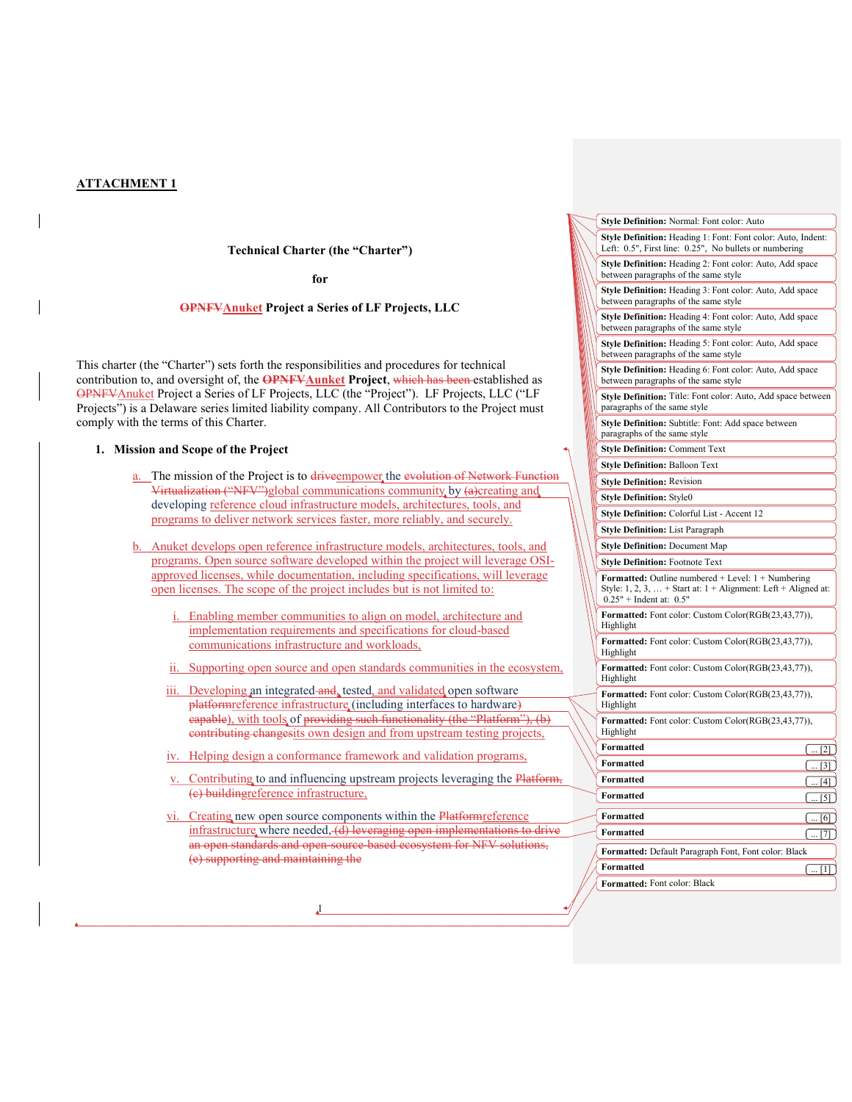### Technical Charter (the "Charter")

#### for

### OPNFVAnuket Project a Series of LF Projects, LLC

This charter (the "Charter") sets forth the responsibilities and procedures for technical contribution to, and oversight of, the **OPNFVAunket** Project, which has been established as OPNFVAnuket Project a Series of LF Projects, LLC (the "Project"). LF Projects, LLC ("LF Projects") is a Delaware series limited liability company. All Contributors to the Project must comply with the terms of this Charter.

## 1. Mission and Scope of the Project

- a. The mission of the Project is to driveempower the evolution of Network Function Virtualization ("NFV")global communications community by (a)creating and developing reference cloud infrastructure models, architectures, tools, and programs to deliver network services faster, more reliably, and securely.
- b. Anuket develops open reference infrastructure models, architectures, tools, and programs. Open source software developed within the project will leverage OSIapproved licenses, while documentation, including specifications, will leverage open licenses. The scope of the project includes but is not limited to:
	- i. Enabling member communities to align on model, architecture and implementation requirements and specifications for cloud-based communications infrastructure and workloads,
	- ii. Supporting open source and open standards communities in the ecosystem,
	- iii. Developing an integrated and, tested, and validated open software platformreference infrastructure (including interfaces to hardware) eapable), with tools of providing such functionality (the "Platform"), (b) contributing changesits own design and from upstream testing projects,
	- iv. Helping design a conformance framework and validation programs,

1

- v. Contributing to and influencing upstream projects leveraging the Platform, (c) buildingreference infrastructure,
- vi. Creating new open source components within the Platformreference infrastructure where needed, (d) leveraging open implementations to drive an open standards and open-source-based ecosystem for NFV solutions, (e) supporting and maintaining the

| Style Definition: Normal: Font color: Auto                                                                                                                    |
|---------------------------------------------------------------------------------------------------------------------------------------------------------------|
| Style Definition: Heading 1: Font: Font color: Auto, Indent:<br>Left: 0.5", First line: 0.25", No bullets or numbering                                        |
| Style Definition: Heading 2: Font color: Auto, Add space<br>between paragraphs of the same style                                                              |
| Style Definition: Heading 3: Font color: Auto, Add space<br>between paragraphs of the same style                                                              |
| Style Definition: Heading 4: Font color: Auto, Add space<br>between paragraphs of the same style                                                              |
| Style Definition: Heading 5: Font color: Auto, Add space<br>between paragraphs of the same style                                                              |
| Style Definition: Heading 6: Font color: Auto, Add space<br>between paragraphs of the same style                                                              |
| Style Definition: Title: Font color: Auto, Add space between<br>paragraphs of the same style                                                                  |
| Style Definition: Subtitle: Font: Add space between<br>paragraphs of the same style                                                                           |
| <b>Style Definition: Comment Text</b>                                                                                                                         |
| <b>Style Definition: Balloon Text</b>                                                                                                                         |
| <b>Style Definition: Revision</b>                                                                                                                             |
| <b>Style Definition: Style0</b>                                                                                                                               |
| Style Definition: Colorful List - Accent 12                                                                                                                   |
| <b>Style Definition: List Paragraph</b>                                                                                                                       |
| <b>Style Definition: Document Map</b>                                                                                                                         |
|                                                                                                                                                               |
| <b>Style Definition: Footnote Text</b>                                                                                                                        |
| Formatted: Outline numbered + Level: 1 + Numbering<br>Style: $1, 2, 3, \ldots$ + Start at: $1 +$ Alignment: Left + Aligned at:<br>$0.25"$ + Indent at: $0.5"$ |
| Formatted: Font color: Custom Color(RGB(23,43,77)),<br>Highlight                                                                                              |
| Formatted: Font color: Custom Color(RGB(23,43,77)),<br>Highlight                                                                                              |
| Formatted: Font color: Custom Color(RGB(23,43,77)),<br>Highlight                                                                                              |
| Formatted: Font color: Custom Color(RGB(23,43,77)),<br>Highlight                                                                                              |
| Formatted: Font color: Custom Color(RGB(23,43,77)),<br>Highlight                                                                                              |
| <b>Formatted</b><br>$\lfloor 2 \rfloor$                                                                                                                       |
| <b>Formatted</b><br>$\lceil 3 \rceil$                                                                                                                         |
| Formatted<br>[4]                                                                                                                                              |
| Formatted<br>$\lceil 5 \rceil$                                                                                                                                |
| Formatted                                                                                                                                                     |
| $\ldots$ [6]<br><b>Formatted</b>                                                                                                                              |
| [7]<br>Formatted: Default Paragraph Font, Font color: Black                                                                                                   |
| Formatted<br>$\ldots$ [1]                                                                                                                                     |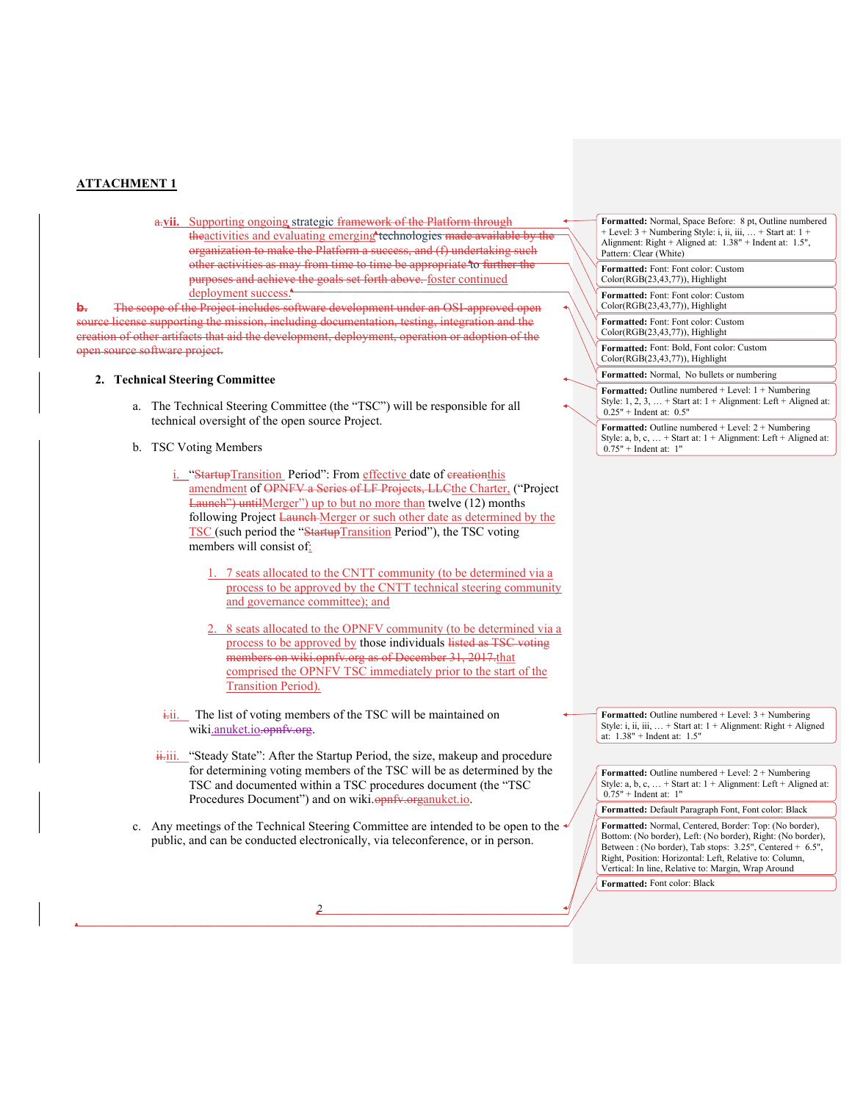a.vii. Supporting ongoing strategic framework of the Platform through theactivities and evaluating emerging technologies made available by the organization to make the Platform a success, and (f) undertaking such other activities as may from time to time be appropriate to further the purposes and achieve the goals set forth above. foster continued deployment success.

b. The scope of the Project includes software development under an OSI-approved open source license supporting the mission, including documentation, testing, integration and the creation of other artifacts that aid the development, deployment, operation or adoption of the open source software project.

### 2. Technical Steering Committee

- a. The Technical Steering Committee (the "TSC") will be responsible for all technical oversight of the open source Project.
- b. TSC Voting Members
	- i. "StartupTransition Period": From effective date of creationthis amendment of OPNFV a Series of LF Projects, LLCthe Charter, ("Project Launch") untilMerger") up to but no more than twelve (12) months following Project Launch Merger or such other date as determined by the TSC (such period the "StartupTransition Period"), the TSC voting members will consist of:
		- 1. 7 seats allocated to the CNTT community (to be determined via a process to be approved by the CNTT technical steering community and governance committee); and
		- 2. 8 seats allocated to the OPNFV community (to be determined via a process to be approved by those individuals listed as TSC voting members on wiki.opnfv.org as of December 31, 2017.that comprised the OPNFV TSC immediately prior to the start of the Transition Period).
	- $\frac{1}{1}$ . The list of voting members of the TSC will be maintained on wiki.anuket.io.opnfv.org.
	- ii.iii. "Steady State": After the Startup Period, the size, makeup and procedure for determining voting members of the TSC will be as determined by the TSC and documented within a TSC procedures document (the "TSC Procedures Document") and on wiki.opnfv.organuket.io.
- c. Any meetings of the Technical Steering Committee are intended to be open to the public, and can be conducted electronically, via teleconference, or in person.

2

| <b>Formatted:</b> Normal, Space Before: 8 pt, Outline numbered<br>$+$ Level: 3 + Numbering Style: i, ii, iii,  + Start at: 1 +<br>Alignment: Right + Aligned at: $1.38"$ + Indent at: 1.5",<br>Pattern: Clear (White) |
|-----------------------------------------------------------------------------------------------------------------------------------------------------------------------------------------------------------------------|
| <b>Formatted:</b> Font: Font color: Custom<br>Color(RGB(23,43,77)), Highlight                                                                                                                                         |
| <b>Formatted:</b> Font: Font color: Custom<br>Color(RGB(23,43,77)), Highlight                                                                                                                                         |
| <b>Formatted:</b> Font: Font color: Custom<br>Color(RGB(23,43,77)), Highlight                                                                                                                                         |

Formatted: Font: Bold, Font color: Custom Color(RGB(23,43,77)), Highlight

Formatted: Normal, No bullets or numbering

Formatted: Outline numbered + Level: 1 + Numbering Style:  $1, 2, 3, \ldots$  + Start at:  $1 +$  Alignment: Left + Aligned at: 0.25" + Indent at: 0.5"

Formatted: Outline numbered + Level: 2 + Numbering Style: a, b, c, … + Start at: 1 + Alignment: Left + Aligned at:  $0.75"$  + Indent at: 1"

Formatted: Outline numbered + Level: 3 + Numbering Style: i, ii, iii, … + Start at: 1 + Alignment: Right + Aligned at: 1.38" + Indent at: 1.5"

Formatted: Outline numbered + Level: 2 + Numbering Style: a, b, c, … + Start at: 1 + Alignment: Left + Aligned at:  $0.75" +$  Indent at: 1"

Formatted: Default Paragraph Font, Font color: Black

Formatted: Normal, Centered, Border: Top: (No border), Bottom: (No border), Left: (No border), Right: (No border), Between : (No border), Tab stops: 3.25", Centered + 6.5", Right, Position: Horizontal: Left, Relative to: Column, Vertical: In line, Relative to: Margin, Wrap Around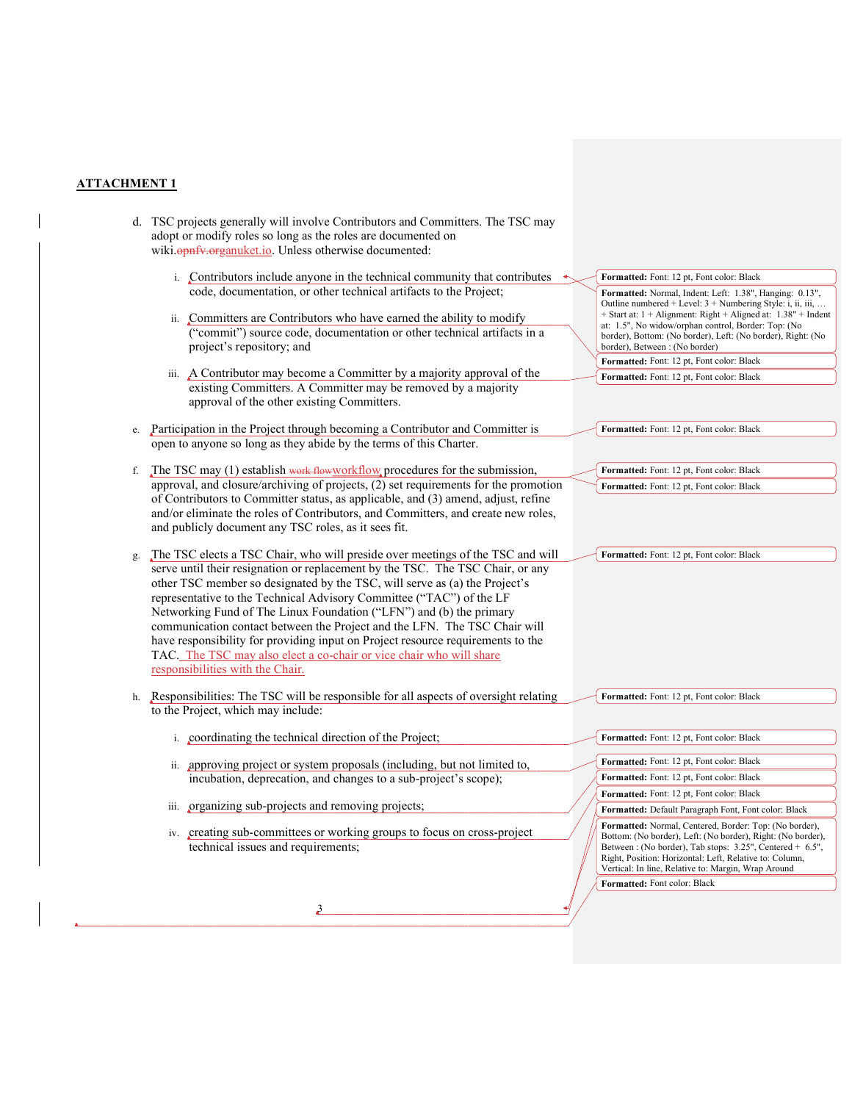- d. TSC projects generally will involve Contributors and Committers. The TSC may adopt or modify roles so long as the roles are documented on wiki.opnfv.organuket.io. Unless otherwise documented:
	- i. Contributors include anyone in the technical community that contributes code, documentation, or other technical artifacts to the Project;
	- ii. Committers are Contributors who have earned the ability to modify ("commit") source code, documentation or other technical artifacts in a project's repository; and
	- iii. A Contributor may become a Committer by a majority approval of the existing Committers. A Committer may be removed by a majority approval of the other existing Committers.
- e. Participation in the Project through becoming a Contributor and Committer is open to anyone so long as they abide by the terms of this Charter.
- f. The TSC may (1) establish work flowworkflow procedures for the submission, approval, and closure/archiving of projects, (2) set requirements for the promotion of Contributors to Committer status, as applicable, and (3) amend, adjust, refine and/or eliminate the roles of Contributors, and Committers, and create new roles, and publicly document any TSC roles, as it sees fit.
- g. The TSC elects a TSC Chair, who will preside over meetings of the TSC and will serve until their resignation or replacement by the TSC. The TSC Chair, or any other TSC member so designated by the TSC, will serve as (a) the Project's representative to the Technical Advisory Committee ("TAC") of the LF Networking Fund of The Linux Foundation ("LFN") and (b) the primary communication contact between the Project and the LFN. The TSC Chair will have responsibility for providing input on Project resource requirements to the TAC. The TSC may also elect a co-chair or vice chair who will share responsibilities with the Chair.
- h. Responsibilities: The TSC will be responsible for all aspects of oversight relating to the Project, which may include:
	- i. coordinating the technical direction of the Project;
	- ii. approving project or system proposals (including, but not limited to, incubation, deprecation, and changes to a sub-project's scope);
	- iii. organizing sub-projects and removing projects;

3

iv. creating sub-committees or working groups to focus on cross-project technical issues and requirements;

## Formatted: Font: 12 pt, Font color: Black

Formatted: Normal, Indent: Left: 1.38", Hanging: 0.13", Outline numbered + Level: 3 + Numbering Style: i, ii, iii, … + Start at: 1 + Alignment: Right + Aligned at: 1.38" + Indent at: 1.5", No widow/orphan control, Border: Top: (No border), Bottom: (No border), Left: (No border), Right: (No border), Between : (No border) Formatted: Font: 12 pt, Font color: Black

Formatted: Font: 12 pt, Font color: Black

Formatted: Font: 12 pt, Font color: Black

Formatted: Font: 12 pt, Font color: Black Formatted: Font: 12 pt, Font color: Black

Formatted: Font: 12 pt, Font color: Black

Formatted: Font: 12 pt, Font color: Black

| Formatted: Font: 12 pt, Font color: Black                                                                                                                                                      |
|------------------------------------------------------------------------------------------------------------------------------------------------------------------------------------------------|
|                                                                                                                                                                                                |
| <b>Formatted:</b> Font: 12 pt, Font color: Black                                                                                                                                               |
| <b>Formatted:</b> Font: 12 pt, Font color: Black                                                                                                                                               |
| <b>Formatted:</b> Font: 12 pt, Font color: Black                                                                                                                                               |
| <b>Formatted:</b> Default Paragraph Font, Font color: Black                                                                                                                                    |
| <b>Formatted:</b> Normal, Centered, Border: Top: (No border),<br>Bottom: (No border), Left: (No border), Right: (No border),<br>Between: (No border), Tab stops: $3.25$ ", Centered + $6.5$ ", |

Right, Position: Horizontal: Left, Relative to: Column, Vertical: In line, Relative to: Margin, Wrap Around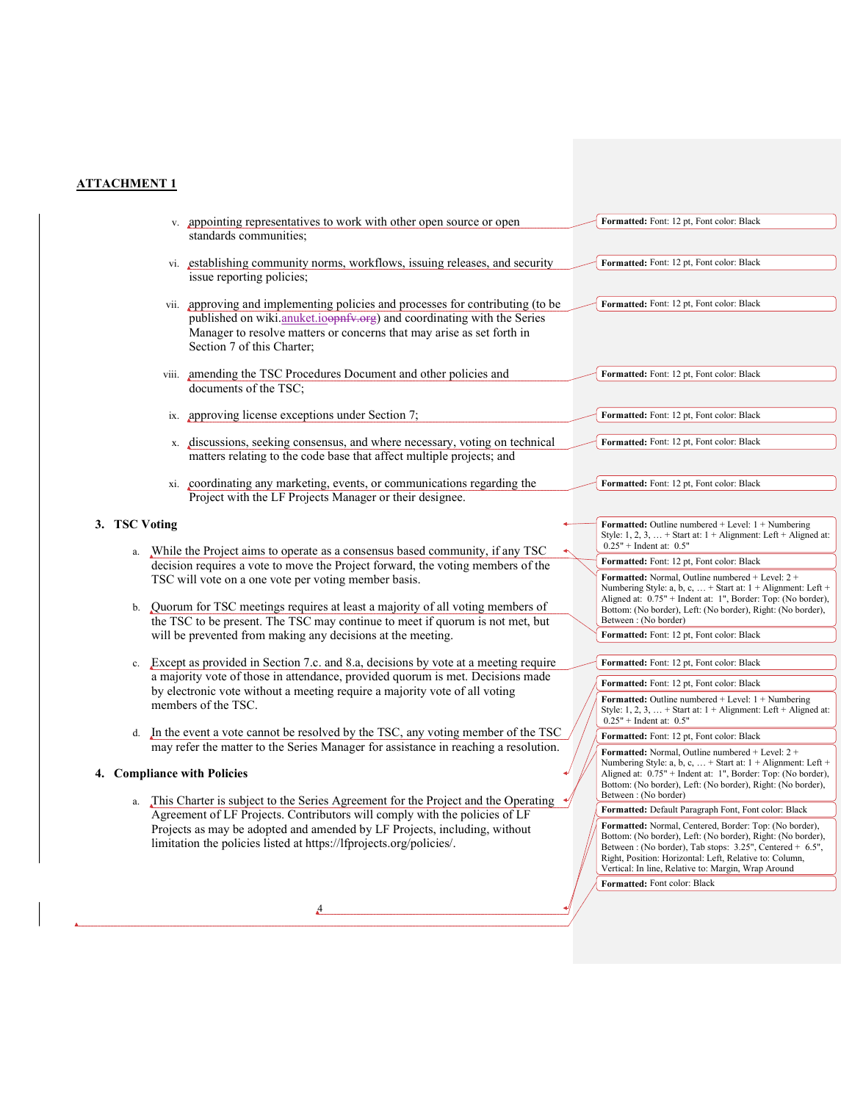|               | v. appointing representatives to work with other open source or open                                                                                           | Formatted: Font: 12 pt, Font color: Black                                                                                                 |
|---------------|----------------------------------------------------------------------------------------------------------------------------------------------------------------|-------------------------------------------------------------------------------------------------------------------------------------------|
|               | standards communities;                                                                                                                                         |                                                                                                                                           |
|               | vi. establishing community norms, workflows, issuing releases, and security                                                                                    | Formatted: Font: 12 pt, Font color: Black                                                                                                 |
|               | issue reporting policies;                                                                                                                                      |                                                                                                                                           |
|               |                                                                                                                                                                |                                                                                                                                           |
|               | vii. approving and implementing policies and processes for contributing (to be<br>published on wiki.anuket.ioopnfv.org) and coordinating with the Series       | Formatted: Font: 12 pt, Font color: Black                                                                                                 |
|               | Manager to resolve matters or concerns that may arise as set forth in                                                                                          |                                                                                                                                           |
|               | Section 7 of this Charter;                                                                                                                                     |                                                                                                                                           |
|               |                                                                                                                                                                |                                                                                                                                           |
|               | viii. amending the TSC Procedures Document and other policies and<br>documents of the TSC;                                                                     | Formatted: Font: 12 pt, Font color: Black                                                                                                 |
|               |                                                                                                                                                                |                                                                                                                                           |
|               | ix. approving license exceptions under Section 7;                                                                                                              | Formatted: Font: 12 pt, Font color: Black                                                                                                 |
|               |                                                                                                                                                                |                                                                                                                                           |
|               | x. discussions, seeking consensus, and where necessary, voting on technical                                                                                    | Formatted: Font: 12 pt, Font color: Black                                                                                                 |
|               | matters relating to the code base that affect multiple projects; and                                                                                           |                                                                                                                                           |
|               | xi. coordinating any marketing, events, or communications regarding the                                                                                        | Formatted: Font: 12 pt, Font color: Black                                                                                                 |
|               | Project with the LF Projects Manager or their designee.                                                                                                        |                                                                                                                                           |
|               |                                                                                                                                                                |                                                                                                                                           |
| 3. TSC Voting |                                                                                                                                                                | <b>Formatted:</b> Outline numbered $+$ Level: $1 +$ Numbering<br>Style: $1, 2, 3, \ldots$ + Start at: $1 +$ Alignment: Left + Aligned at: |
|               | a. While the Project aims to operate as a consensus based community, if any TSC                                                                                | $0.25"$ + Indent at: $0.5"$                                                                                                               |
|               | decision requires a vote to move the Project forward, the voting members of the                                                                                | Formatted: Font: 12 pt, Font color: Black                                                                                                 |
|               | TSC will vote on a one vote per voting member basis.                                                                                                           | <b>Formatted:</b> Normal, Outline numbered $+$ Level: 2 $+$<br>Numbering Style: a, b, c,  + Start at: 1 + Alignment: Left +               |
|               |                                                                                                                                                                | Aligned at: 0.75" + Indent at: 1", Border: Top: (No border),                                                                              |
| b.            | Quorum for TSC meetings requires at least a majority of all voting members of<br>the TSC to be present. The TSC may continue to meet if quorum is not met, but | Bottom: (No border), Left: (No border), Right: (No border),<br>Between: (No border)                                                       |
|               | will be prevented from making any decisions at the meeting.                                                                                                    | Formatted: Font: 12 pt, Font color: Black                                                                                                 |
|               |                                                                                                                                                                |                                                                                                                                           |
| c.            | Except as provided in Section 7.c. and 8.a, decisions by vote at a meeting require                                                                             | Formatted: Font: 12 pt, Font color: Black                                                                                                 |
|               | a majority vote of those in attendance, provided quorum is met. Decisions made<br>by electronic vote without a meeting require a majority vote of all voting   | Formatted: Font: 12 pt, Font color: Black                                                                                                 |
|               | members of the TSC.                                                                                                                                            | <b>Formatted:</b> Outline numbered $+$ Level: $1 +$ Numbering                                                                             |
|               |                                                                                                                                                                | Style: $1, 2, 3, \ldots$ + Start at: $1 +$ Alignment: Left + Aligned at:<br>$0.25"$ + Indent at: $0.5"$                                   |
|               | d. In the event a vote cannot be resolved by the TSC, any voting member of the TSC                                                                             | Formatted: Font: 12 pt, Font color: Black                                                                                                 |
|               | may refer the matter to the Series Manager for assistance in reaching a resolution.                                                                            | Formatted: Normal, Outline numbered + Level: 2 +                                                                                          |
|               | 4. Compliance with Policies                                                                                                                                    | Numbering Style: a, b, c,  + Start at: 1 + Alignment: Left +<br>Aligned at: 0.75" + Indent at: 1", Border: Top: (No border),              |
|               |                                                                                                                                                                | Bottom: (No border), Left: (No border), Right: (No border),                                                                               |
|               | a. This Charter is subject to the Series Agreement for the Project and the Operating                                                                           | Between: (No border)<br>Formatted: Default Paragraph Font, Font color: Black                                                              |
|               | Agreement of LF Projects. Contributors will comply with the policies of LF                                                                                     | Formatted: Normal, Centered, Border: Top: (No border),                                                                                    |
|               | Projects as may be adopted and amended by LF Projects, including, without<br>limitation the policies listed at https://lfprojects.org/policies/.               | Bottom: (No border), Left: (No border), Right: (No border),                                                                               |
|               |                                                                                                                                                                | Between: (No border), Tab stops: 3.25", Centered + 6.5",<br>Right, Position: Horizontal: Left, Relative to: Column,                       |
|               |                                                                                                                                                                | Vertical: In line, Relative to: Margin, Wrap Around                                                                                       |
|               |                                                                                                                                                                | Formatted: Font color: Black                                                                                                              |
|               | A                                                                                                                                                              |                                                                                                                                           |
|               |                                                                                                                                                                |                                                                                                                                           |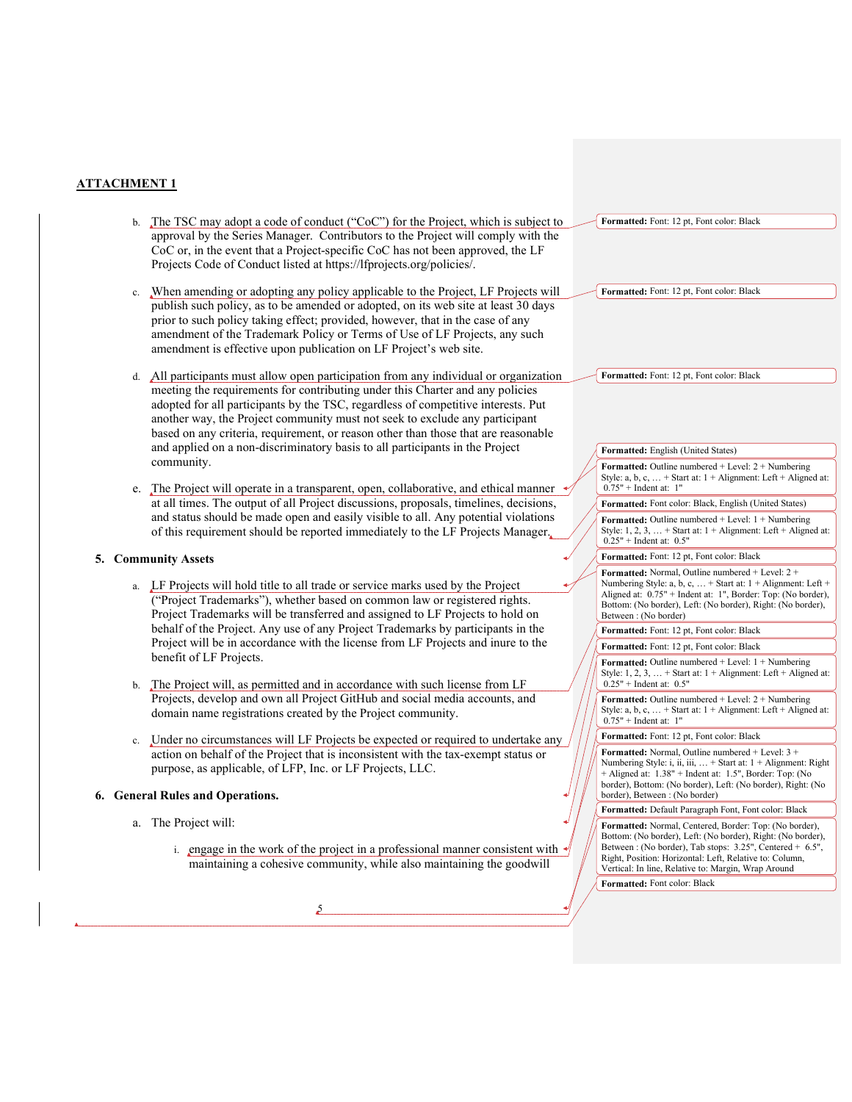- b. The TSC may adopt a code of conduct ("CoC") for the Project, which is subject to approval by the Series Manager. Contributors to the Project will comply with the CoC or, in the event that a Project-specific CoC has not been approved, the LF Projects Code of Conduct listed at https://lfprojects.org/policies/.
- c. When amending or adopting any policy applicable to the Project, LF Projects will publish such policy, as to be amended or adopted, on its web site at least 30 days prior to such policy taking effect; provided, however, that in the case of any amendment of the Trademark Policy or Terms of Use of LF Projects, any such amendment is effective upon publication on LF Project's web site.
- d. All participants must allow open participation from any individual or organization meeting the requirements for contributing under this Charter and any policies adopted for all participants by the TSC, regardless of competitive interests. Put another way, the Project community must not seek to exclude any participant based on any criteria, requirement, or reason other than those that are reasonable and applied on a non-discriminatory basis to all participants in the Project community.
- e. The Project will operate in a transparent, open, collaborative, and ethical manner at all times. The output of all Project discussions, proposals, timelines, decisions, and status should be made open and easily visible to all. Any potential violations of this requirement should be reported immediately to the LF Projects Manager.

## 5. Community Assets

- a. LF Projects will hold title to all trade or service marks used by the Project ("Project Trademarks"), whether based on common law or registered rights. Project Trademarks will be transferred and assigned to LF Projects to hold on behalf of the Project. Any use of any Project Trademarks by participants in the Project will be in accordance with the license from LF Projects and inure to the benefit of LF Projects.
- b. The Project will, as permitted and in accordance with such license from LF Projects, develop and own all Project GitHub and social media accounts, and domain name registrations created by the Project community.

5

c. Under no circumstances will LF Projects be expected or required to undertake any action on behalf of the Project that is inconsistent with the tax-exempt status or purpose, as applicable, of LFP, Inc. or LF Projects, LLC.

## 6. General Rules and Operations.

- a. The Project will:
	- i. engage in the work of the project in a professional manner consistent with maintaining a cohesive community, while also maintaining the goodwill



Formatted: Font: 12 pt, Font color: Black

Formatted: Font: 12 pt, Font color: Black

## Formatted: English (United States)

Formatted: Outline numbered + Level: 2 + Numbering Style: a, b, c,  $\dots$  + Start at:  $1 +$  Alignment: Left + Aligned at: 0.75" + Indent at: 1"

Formatted: Font color: Black, English (United States)

Formatted: Outline numbered + Level: 1 + Numbering Style:  $1, 2, 3, \ldots$  + Start at:  $1 +$  Alignment: Left + Aligned at:  $0.25"$  + Indent at:  $0.5"$ 

Formatted: Font: 12 pt, Font color: Black

Formatted: Normal, Outline numbered + Level: 2 + Numbering Style: a, b, c, … + Start at: 1 + Alignment: Left + Aligned at: 0.75" + Indent at: 1", Border: Top: (No border), Bottom: (No border), Left: (No border), Right: (No border), Between : (No border)

Formatted: Font: 12 pt, Font color: Black

Formatted: Font: 12 pt, Font color: Black

Formatted: Outline numbered + Level: 1 + Numbering Style:  $1, 2, 3, \ldots$  + Start at:  $1 +$  Alignment: Left + Aligned at:  $0.25"$  + Indent at: 0.5"

**Formatted:** Outline numbered  $+$  Level:  $2 +$  Numbering Style: a, b, c,  $\dots$  + Start at:  $1 +$  Alignment: Left + Aligned at: 0.75" + Indent at: 1"

Formatted: Font: 12 pt, Font color: Black

Formatted: Normal, Outline numbered + Level: 3 + Numbering Style: i, ii, iii, … + Start at: 1 + Alignment: Right + Aligned at: 1.38" + Indent at: 1.5", Border: Top: (No border), Bottom: (No border), Left: (No border), Right: (No border), Between : (No border)

Formatted: Default Paragraph Font, Font color: Black

Formatted: Normal, Centered, Border: Top: (No border), Bottom: (No border), Left: (No border), Right: (No border), Between : (No border), Tab stops: 3.25", Centered + 6.5", Right, Position: Horizontal: Left, Relative to: Column, Vertical: In line, Relative to: Margin, Wrap Around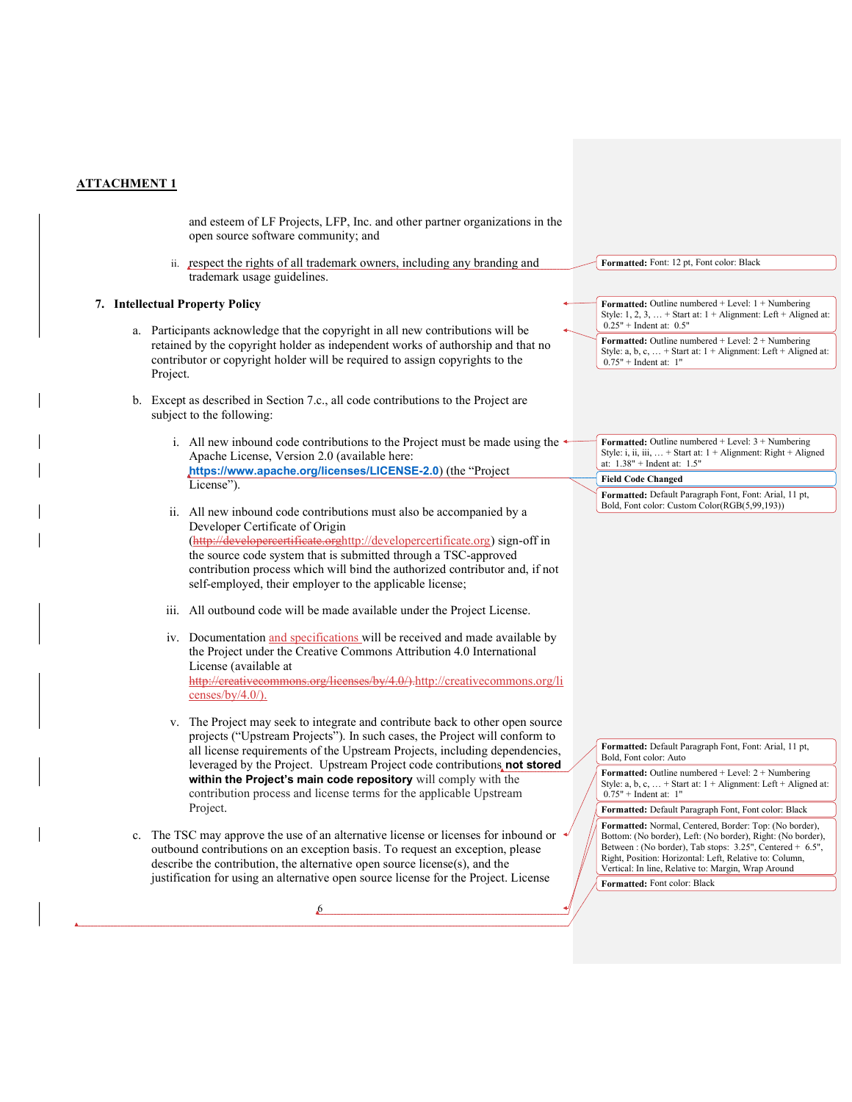and esteem of LF Projects, LFP, Inc. and other partner organizations in the open source software community; and

ii. respect the rights of all trademark owners, including any branding and trademark usage guidelines.

### 7. Intellectual Property Policy

- a. Participants acknowledge that the copyright in all new contributions will be retained by the copyright holder as independent works of authorship and that no contributor or copyright holder will be required to assign copyrights to the Project.
- b. Except as described in Section 7.c., all code contributions to the Project are subject to the following:
	- i. All new inbound code contributions to the Project must be made using the Apache License, Version 2.0 (available here: https://www.apache.org/licenses/LICENSE-2.0) (the "Project License").
	- ii. All new inbound code contributions must also be accompanied by a Developer Certificate of Origin (http://developercertificate.orghttp://developercertificate.org) sign-off in the source code system that is submitted through a TSC-approved contribution process which will bind the authorized contributor and, if not self-employed, their employer to the applicable license;
	- iii. All outbound code will be made available under the Project License.
	- iv. Documentation and specifications will be received and made available by the Project under the Creative Commons Attribution 4.0 International License (available at http://creativecommons.org/licenses/by/4.0/).http://creativecommons.org/li censes/by/4.0/ $)$ .
	- v. The Project may seek to integrate and contribute back to other open source projects ("Upstream Projects"). In such cases, the Project will conform to all license requirements of the Upstream Projects, including dependencies, leveraged by the Project. Upstream Project code contributions not stored within the Project's main code repository will comply with the contribution process and license terms for the applicable Upstream Project.
- c. The TSC may approve the use of an alternative license or licenses for inbound or outbound contributions on an exception basis. To request an exception, please describe the contribution, the alternative open source license(s), and the justification for using an alternative open source license for the Project. License

6

| Formatted: Font: 12 pt, Font color: Black                                                                                                                                                                                                    |  |
|----------------------------------------------------------------------------------------------------------------------------------------------------------------------------------------------------------------------------------------------|--|
|                                                                                                                                                                                                                                              |  |
| Formatted: Outline numbered $+$ Level: $1 +$ Numbering<br>Style: $1, 2, 3, \ldots$ + Start at: $1 +$ Alignment: Left + Aligned at:<br>$0.25"$ + Indent at: $0.5"$                                                                            |  |
| Formatted: Outline numbered $+$ Level: $2 +$ Numbering<br>Style: a, b, c,  + Start at: $1 +$ Alignment: Left + Aligned at:<br>$0.75"$ + Indent at: 1"                                                                                        |  |
|                                                                                                                                                                                                                                              |  |
|                                                                                                                                                                                                                                              |  |
| Formatted: Outline numbered $+$ Level: $3 +$ Numbering<br>Style: i, ii, iii,  + Start at: 1 + Alignment: Right + Aligned<br>at: $1.38" + Indent$ at: $1.5"$                                                                                  |  |
| <b>Field Code Changed</b>                                                                                                                                                                                                                    |  |
| Formatted: Default Paragraph Font, Font: Arial, 11 pt,<br>Bold, Font color: Custom Color(RGB(5,99,193))                                                                                                                                      |  |
|                                                                                                                                                                                                                                              |  |
|                                                                                                                                                                                                                                              |  |
|                                                                                                                                                                                                                                              |  |
|                                                                                                                                                                                                                                              |  |
|                                                                                                                                                                                                                                              |  |
| Formatted: Default Paragraph Font, Font: Arial, 11 pt,<br>Bold, Font color: Auto                                                                                                                                                             |  |
|                                                                                                                                                                                                                                              |  |
| <b>Formatted:</b> Outline numbered $+$ Level: $2 +$ Numbering<br>Style: a, b, c,  + Start at: $1 +$ Alignment: Left + Aligned at:<br>$0.75"$ + Indent at: 1"                                                                                 |  |
| Formatted: Default Paragraph Font, Font color: Black                                                                                                                                                                                         |  |
| Formatted: Normal, Centered, Border: Top: (No border),<br>Bottom: (No border), Left: (No border), Right: (No border),<br>Between: (No border), Tab stops: 3.25", Centered + 6.5",<br>Right, Position: Horizontal: Left, Relative to: Column, |  |
| Vertical: In line, Relative to: Margin, Wrap Around                                                                                                                                                                                          |  |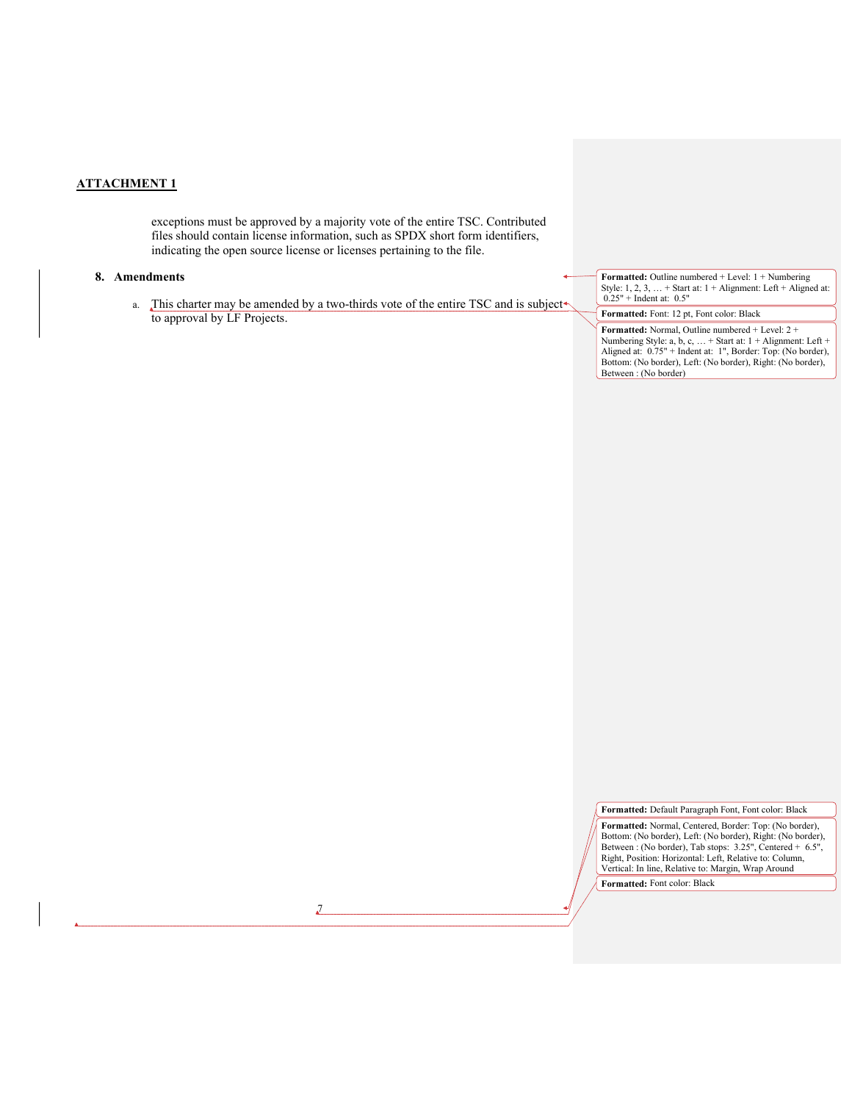exceptions must be approved by a majority vote of the entire TSC. Contributed files should contain license information, such as SPDX short form identifiers, indicating the open source license or licenses pertaining to the file.

# 8. Amendments

a. This charter may be amended by a two-thirds vote of the entire TSC and is subject to approval by LF Projects.

Formatted: Outline numbered + Level: 1 + Numbering Style: 1, 2, 3, … + Start at: 1 + Alignment: Left + Aligned at: 0.25" + Indent at: 0.5"

Formatted: Font: 12 pt, Font color: Black Formatted: Normal, Outline numbered + Level: 2 + Numbering Style: a, b, c, … + Start at: 1 + Alignment: Left + Aligned at: 0.75" + Indent at: 1", Border: Top: (No border), Bottom: (No border), Left: (No border), Right: (No border), Between : (No border)

Formatted: Default Paragraph Font, Font color: Black

Formatted: Normal, Centered, Border: Top: (No border), Bottom: (No border), Left: (No border), Right: (No border), Between : (No border), Tab stops: 3.25", Centered + 6.5", Right, Position: Horizontal: Left, Relative to: Column, Vertical: In line, Relative to: Margin, Wrap Around